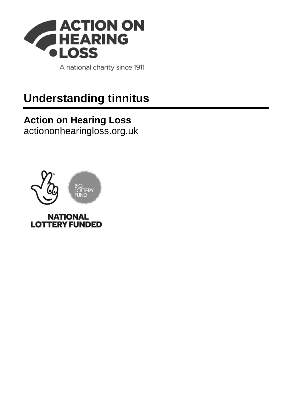

A national charity since 1911

# **Understanding tinnitus**

#### **Action on Hearing Loss** [actiononhearingloss.org.uk](https://www.actiononhearingloss.org.uk/)

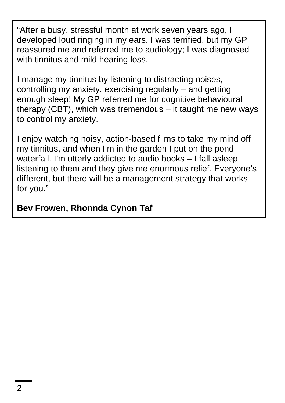"After a busy, stressful month at work seven years ago, I developed loud ringing in my ears. I was terrified, but my GP reassured me and referred me to audiology; I was diagnosed with tinnitus and mild hearing loss.

I manage my tinnitus by listening to distracting noises, controlling my anxiety, exercising regularly – and getting enough sleep! My GP referred me for cognitive behavioural therapy (CBT), which was tremendous – it taught me new ways to control my anxiety.

I enjoy watching noisy, action-based films to take my mind off my tinnitus, and when I'm in the garden I put on the pond waterfall. I'm utterly addicted to audio books – I fall asleep listening to them and they give me enormous relief. Everyone's different, but there will be a management strategy that works for you."

**Bev Frowen, Rhonnda Cynon Taf**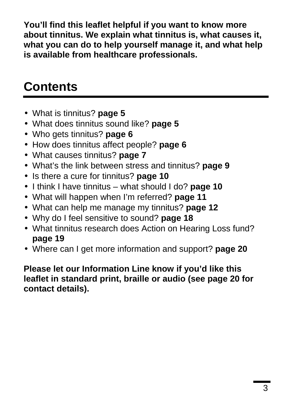**You'll find this leaflet helpful if you want to know more about tinnitus. We explain what tinnitus is, what causes it, what you can do to help yourself manage it, and what help is available from healthcare professionals.**

# **Contents**

- What is tinnitus? **page 5**
- What does tinnitus sound like? **page 5**
- Who gets tinnitus? **page 6**
- How does tinnitus affect people? **page 6**
- What causes tinnitus? **page 7**
- What's the link between stress and tinnitus? **page 9**
- Is there a cure for tinnitus? **page 10**
- I think I have tinnitus what should I do? **page 10**
- What will happen when I'm referred? **page 11**
- What can help me manage my tinnitus? **page 12**
- Why do I feel sensitive to sound? **page 18**
- What tinnitus research does Action on Hearing Loss fund? **page 19**
- Where can I get more information and support? **page 20**

#### **Please let our Information Line know if you'd like this leaflet in standard print, braille or audio (see page 20 for contact details).**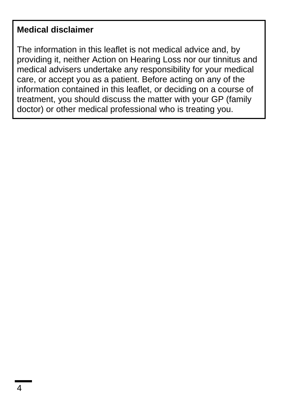#### **Medical disclaimer**

The information in this leaflet is not medical advice and, by providing it, neither Action on Hearing Loss nor our tinnitus and medical advisers undertake any responsibility for your medical care, or accept you as a patient. Before acting on any of the information contained in this leaflet, or deciding on a course of treatment, you should discuss the matter with your GP (family doctor) or other medical professional who is treating you.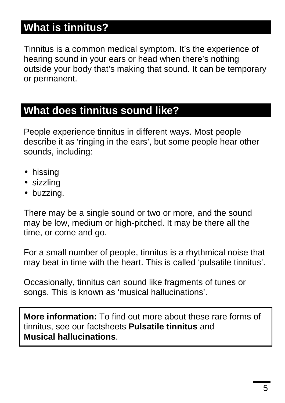### **What is tinnitus?**

Tinnitus is a common medical symptom. It's the experience of hearing sound in your ears or head when there's nothing outside your body that's making that sound. It can be temporary or permanent.

#### **What does tinnitus sound like?**

People experience tinnitus in different ways. Most people describe it as 'ringing in the ears', but some people hear other sounds, including:

- · hissing
- sizzling
- buzzing.

There may be a single sound or two or more, and the sound may be low, medium or high-pitched. It may be there all the time, or come and go.

For a small number of people, tinnitus is a rhythmical noise that may beat in time with the heart. This is called 'pulsatile tinnitus'.

Occasionally, tinnitus can sound like fragments of tunes or songs. This is known as 'musical hallucinations'.

**More information:** To find out more about these rare forms of tinnitus, see our factsheets **Pulsatile tinnitus** and **Musical hallucinations**.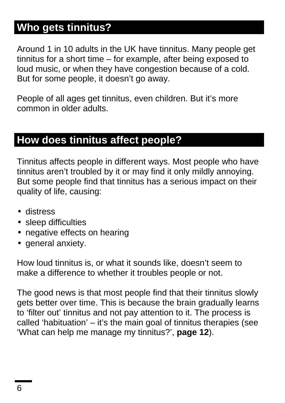### **Who gets tinnitus?**

Around 1 in 10 adults in the UK have tinnitus. Many people get tinnitus for a short time – for example, after being exposed to loud music, or when they have congestion because of a cold. But for some people, it doesn't go away.

People of all ages get tinnitus, even children. But it's more common in older adults.

### **How does tinnitus affect people?**

Tinnitus affects people in different ways. Most people who have tinnitus aren't troubled by it or may find it only mildly annoying. But some people find that tinnitus has a serious impact on their quality of life, causing:

- distress j,
- sleep difficulties
- negative effects on hearing
- general anxiety.

How loud tinnitus is, or what it sounds like, doesn't seem to make a difference to whether it troubles people or not.

The good news is that most people find that their tinnitus slowly gets better over time. This is because the brain gradually learns to 'filter out' tinnitus and not pay attention to it. The process is called 'habituation' – it's the main goal of tinnitus therapies (see 'What can help me manage my tinnitus?', **page 12**).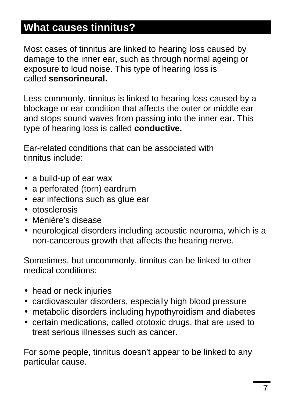# **What causes tinnitus?**

Most cases of tinnitus are linked to hearing loss caused by damage to the inner ear, such as through normal ageing or exposure to loud noise. This type of hearing loss is called **sensorineural.**

Less commonly, tinnitus is linked to hearing loss caused by a blockage or ear condition that affects the outer or middle ear and stops sound waves from passing into the inner ear. This type of hearing loss is called **conductive.**

Ear-related conditions that can be associated with tinnitus include:

- a build-up of ear wax
- a perforated (torn) eardrum
- ear infections such as glue ear
- otosclerosis
- Ménière's disease
- neurological disorders including acoustic neuroma, which is a non-cancerous growth that affects the hearing nerve.

Sometimes, but uncommonly, tinnitus can be linked to other medical conditions:

- . head or neck injuries
- cardiovascular disorders, especially high blood pressure
- metabolic disorders including hypothyroidism and diabetes
- certain medications, called ototoxic drugs, that are used to treat serious illnesses such as cancer.

For some people, tinnitus doesn't appear to be linked to any particular cause.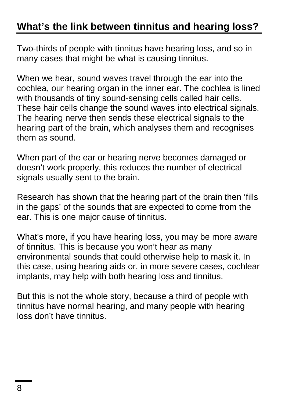### **What's the link between tinnitus and hearing loss?**

Two-thirds of people with tinnitus have hearing loss, and so in many cases that might be what is causing tinnitus.

When we hear, sound waves travel through the ear into the cochlea, our hearing organ in the inner ear. The cochlea is lined with thousands of tiny sound-sensing cells called hair cells. These hair cells change the sound waves into electrical signals. The hearing nerve then sends these electrical signals to the hearing part of the brain, which analyses them and recognises them as sound.

When part of the ear or hearing nerve becomes damaged or doesn't work properly, this reduces the number of electrical signals usually sent to the brain.

Research has shown that the hearing part of the brain then 'fills in the gaps' of the sounds that are expected to come from the ear. This is one major cause of tinnitus.

What's more, if you have hearing loss, you may be more aware of tinnitus. This is because you won't hear as many environmental sounds that could otherwise help to mask it. In this case, using hearing aids or, in more severe cases, cochlear implants, may help with both hearing loss and tinnitus.

But this is not the whole story, because a third of people with tinnitus have normal hearing, and many people with hearing loss don't have tinnitus.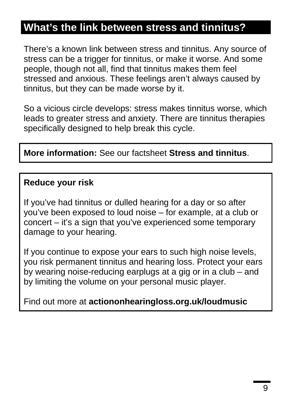### **What's the link between stress and tinnitus?**

There's a known link between stress and tinnitus. Any source of stress can be a trigger for tinnitus, or make it worse. And some people, though not all, find that tinnitus makes them feel stressed and anxious. These feelings aren't always caused by tinnitus, but they can be made worse by it.

So a vicious circle develops: stress makes tinnitus worse, which leads to greater stress and anxiety. There are tinnitus therapies specifically designed to help break this cycle.

#### **More information:** See our factsheet **Stress and tinnitus**.

#### **Reduce your risk**

If you've had tinnitus or dulled hearing for a day or so after you've been exposed to loud noise – for example, at a club or concert – it's a sign that you've experienced some temporary damage to your hearing.

If you continue to expose your ears to such high noise levels, you risk permanent tinnitus and hearing loss. Protect your ears by wearing noise-reducing earplugs at a gig or in a club – and by limiting the volume on your personal music player.

Find out more at **actiononhearingloss.org.uk/loudmusic**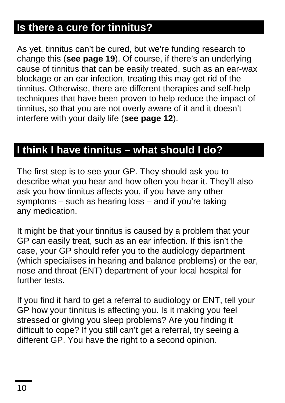# **Is there a cure for tinnitus?**

As yet, tinnitus can't be cured, but we're funding research to change this (**see page 19**). Of course, if there's an underlying cause of tinnitus that can be easily treated, such as an ear-wax blockage or an ear infection, treating this may get rid of the tinnitus. Otherwise, there are different therapies and self-help techniques that have been proven to help reduce the impact of tinnitus, so that you are not overly aware of it and it doesn't interfere with your daily life (**see page 12**).

### **I think I have tinnitus – what should I do?**

The first step is to see your GP. They should ask you to describe what you hear and how often you hear it. They'll also ask you how tinnitus affects you, if you have any other symptoms – such as hearing loss – and if you're taking any medication.

It might be that your tinnitus is caused by a problem that your GP can easily treat, such as an ear infection. If this isn't the case, your GP should refer you to the audiology department (which specialises in hearing and balance problems) or the ear, nose and throat (ENT) department of your local hospital for further tests.

If you find it hard to get a referral to audiology or ENT, tell your GP how your tinnitus is affecting you. Is it making you feel stressed or giving you sleep problems? Are you finding it difficult to cope? If you still can't get a referral, try seeing a different GP. You have the right to a second opinion.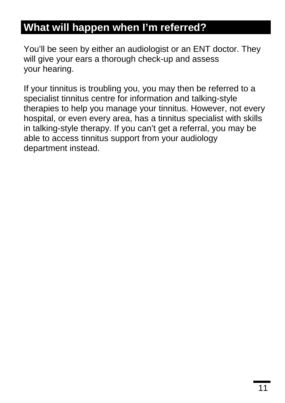### **What will happen when I'm referred?**

You'll be seen by either an audiologist or an ENT doctor. They will give your ears a thorough check-up and assess your hearing.

If your tinnitus is troubling you, you may then be referred to a specialist tinnitus centre for information and talking-style therapies to help you manage your tinnitus. However, not every hospital, or even every area, has a tinnitus specialist with skills in talking-style therapy. If you can't get a referral, you may be able to access tinnitus support from your audiology department instead.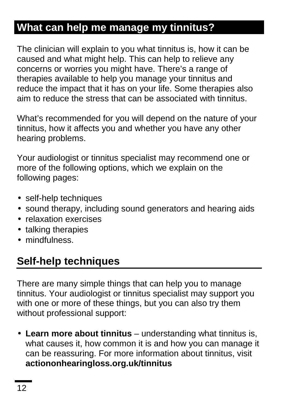# **What can help me manage my tinnitus?**

The clinician will explain to you what tinnitus is, how it can be caused and what might help. This can help to relieve any concerns or worries you might have. There's a range of therapies available to help you manage your tinnitus and reduce the impact that it has on your life. Some therapies also aim to reduce the stress that can be associated with tinnitus.

What's recommended for you will depend on the nature of your tinnitus, how it affects you and whether you have any other hearing problems.

Your audiologist or tinnitus specialist may recommend one or more of the following options, which we explain on the following pages:

- self-help techniques
- sound therapy, including sound generators and hearing aids
- **·** relaxation exercises
- . talking therapies
- mindfulness.

### **Self-help techniques**

There are many simple things that can help you to manage tinnitus. Your audiologist or tinnitus specialist may support you with one or more of these things, but you can also try them without professional support:

**Learn more about tinnitus** – understanding what tinnitus is, what causes it, how common it is and how you can manage it can be reassuring. For more information about tinnitus, visit **actiononhearingloss.org.uk/tinnitus**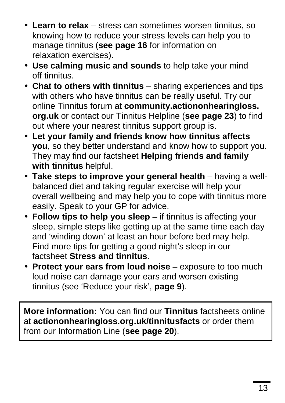- **Learn to relax** stress can sometimes worsen tinnitus, so knowing how to reduce your stress levels can help you to manage tinnitus (**see page 16** for information on relaxation exercises).
- **Use calming music and sounds** to help take your mind off tinnitus.
- **Chat to others with tinnitus** sharing experiences and tips with others who have tinnitus can be really useful. Try our online Tinnitus forum at **community.actiononhearingloss. org.uk** or contact our Tinnitus Helpline (**see page 23**) to find out where your nearest tinnitus support group is.
- **Let your family and friends know how tinnitus affects you**, so they better understand and know how to support you. They may find our factsheet **Helping friends and family with tinnitus** helpful.
- **Take steps to improve your general health** having a wellbalanced diet and taking regular exercise will help your overall wellbeing and may help you to cope with tinnitus more easily. Speak to your GP for advice.
- **Follow tips to help you sleep** if tinnitus is affecting your Î, sleep, simple steps like getting up at the same time each day and 'winding down' at least an hour before bed may help. Find more tips for getting a good night's sleep in our factsheet **Stress and tinnitus**.
- **Protect your ears from loud noise** exposure to too much loud noise can damage your ears and worsen existing tinnitus (see 'Reduce your risk', **page 9**).

**More information:** You can find our **Tinnitus** factsheets online at **actiononhearingloss.org.uk/tinnitusfacts** or order them from our Information Line (**see page 20**).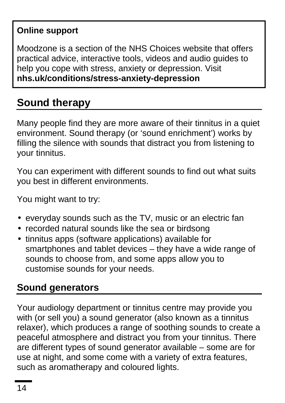#### **Online support**

Moodzone is a section of the NHS Choices website that offers practical advice, interactive tools, videos and audio guides to help you cope with stress, anxiety or depression. Visit **nhs.uk/conditions/stress-anxiety-depression**

# **Sound therapy**

Many people find they are more aware of their tinnitus in a quiet environment. Sound therapy (or 'sound enrichment') works by filling the silence with sounds that distract you from listening to your tinnitus.

You can experiment with different sounds to find out what suits you best in different environments.

You might want to try:

- everyday sounds such as the TV, music or an electric fan
- The recorded natural sounds like the sea or birdsong
- tinnitus apps (software applications) available for i, smartphones and tablet devices – they have a wide range of sounds to choose from, and some apps allow you to customise sounds for your needs.

#### **Sound generators**

Your audiology department or tinnitus centre may provide you with (or sell you) a sound generator (also known as a tinnitus relaxer), which produces a range of soothing sounds to create a peaceful atmosphere and distract you from your tinnitus. There are different types of sound generator available – some are for use at night, and some come with a variety of extra features, such as aromatherapy and coloured lights.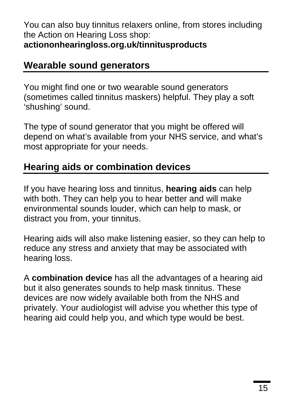#### You can also buy tinnitus relaxers online, from stores including the Action on Hearing Loss shop: **actiononhearingloss.org.uk/tinnitusproducts**

#### **Wearable sound generators**

You might find one or two wearable sound generators (sometimes called tinnitus maskers) helpful. They play a soft 'shushing' sound.

The type of sound generator that you might be offered will depend on what's available from your NHS service, and what's most appropriate for your needs.

#### **Hearing aids or combination devices**

If you have hearing loss and tinnitus, **hearing aids** can help with both. They can help you to hear better and will make environmental sounds louder, which can help to mask, or distract you from, your tinnitus.

Hearing aids will also make listening easier, so they can help to reduce any stress and anxiety that may be associated with hearing loss.

A **combination device** has all the advantages of a hearing aid but it also generates sounds to help mask tinnitus. These devices are now widely available both from the NHS and privately. Your audiologist will advise you whether this type of hearing aid could help you, and which type would be best.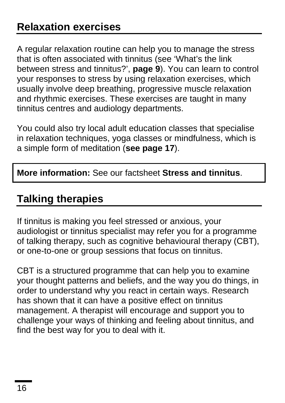A regular relaxation routine can help you to manage the stress that is often associated with tinnitus (see 'What's the link between stress and tinnitus?', **page 9**). You can learn to control your responses to stress by using relaxation exercises, which usually involve deep breathing, progressive muscle relaxation and rhythmic exercises. These exercises are taught in many tinnitus centres and audiology departments.

You could also try local adult education classes that specialise in relaxation techniques, yoga classes or mindfulness, which is a simple form of meditation (**see page 17**).

**More information:** See our factsheet **Stress and tinnitus**.

# **Talking therapies**

If tinnitus is making you feel stressed or anxious, your audiologist or tinnitus specialist may refer you for a programme of talking therapy, such as cognitive behavioural therapy (CBT), or one-to-one or group sessions that focus on tinnitus.

CBT is a structured programme that can help you to examine your thought patterns and beliefs, and the way you do things, in order to understand why you react in certain ways. Research has shown that it can have a positive effect on tinnitus management. A therapist will encourage and support you to challenge your ways of thinking and feeling about tinnitus, and find the best way for you to deal with it.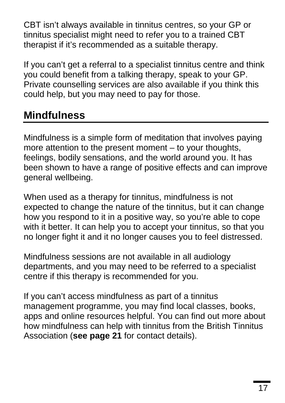CBT isn't always available in tinnitus centres, so your GP or tinnitus specialist might need to refer you to a trained CBT therapist if it's recommended as a suitable therapy.

If you can't get a referral to a specialist tinnitus centre and think you could benefit from a talking therapy, speak to your GP. Private counselling services are also available if you think this could help, but you may need to pay for those.

# **Mindfulness**

Mindfulness is a simple form of meditation that involves paying more attention to the present moment – to your thoughts, feelings, bodily sensations, and the world around you. It has been shown to have a range of positive effects and can improve general wellbeing.

When used as a therapy for tinnitus, mindfulness is not expected to change the nature of the tinnitus, but it can change how you respond to it in a positive way, so you're able to cope with it better. It can help you to accept your tinnitus, so that you no longer fight it and it no longer causes you to feel distressed.

Mindfulness sessions are not available in all audiology departments, and you may need to be referred to a specialist centre if this therapy is recommended for you.

If you can't access mindfulness as part of a tinnitus management programme, you may find local classes, books, apps and online resources helpful. You can find out more about how mindfulness can help with tinnitus from the British Tinnitus Association (**see page 21** for contact details).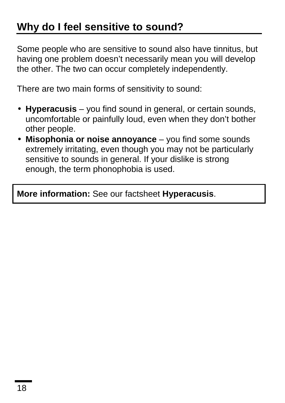Some people who are sensitive to sound also have tinnitus, but having one problem doesn't necessarily mean you will develop the other. The two can occur completely independently.

There are two main forms of sensitivity to sound:

- **Hyperacusis** you find sound in general, or certain sounds, í, uncomfortable or painfully loud, even when they don't bother other people.
- **Misophonia or noise annoyance** you find some sounds extremely irritating, even though you may not be particularly sensitive to sounds in general. If your dislike is strong enough, the term phonophobia is used.

**More information:** See our factsheet **Hyperacusis**.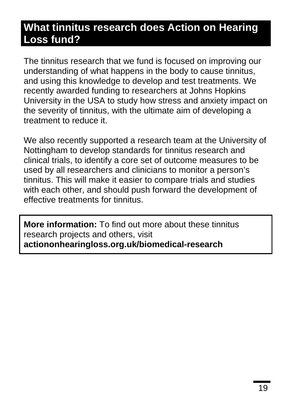#### **What tinnitus research does Action on Hearing Loss fund?**

The tinnitus research that we fund is focused on improving our understanding of what happens in the body to cause tinnitus, and using this knowledge to develop and test treatments. We recently awarded funding to researchers at Johns Hopkins University in the USA to study how stress and anxiety impact on the severity of tinnitus, with the ultimate aim of developing a treatment to reduce it.

We also recently supported a research team at the University of Nottingham to develop standards for tinnitus research and clinical trials, to identify a core set of outcome measures to be used by all researchers and clinicians to monitor a person's tinnitus. This will make it easier to compare trials and studies with each other, and should push forward the development of effective treatments for tinnitus.

**More information:** To find out more about these tinnitus research projects and others, visit **actiononhearingloss.org.uk/biomedical-research**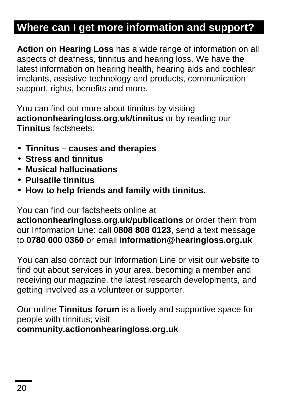# **Where can I get more information and support?**

**Action on Hearing Loss** has a wide range of information on all aspects of deafness, tinnitus and hearing loss. We have the latest information on hearing health, hearing aids and cochlear implants, assistive technology and products, communication support, rights, benefits and more.

You can find out more about tinnitus by visiting **actiononhearingloss.org.uk/tinnitus** or by reading our **Tinnitus** factsheets:

- **Tinnitus – causes and therapies**
- **Stress and tinnitus**
- **Musical hallucinations**
- **Pulsatile tinnitus**
- **How to help friends and family with tinnitus.**  $\blacksquare$

You can find our factsheets online at

**actiononhearingloss.org.uk/publications** or order them from our Information Line: call **0808 808 0123**, send a text message to **0780 000 0360** or email **information@hearingloss.org.uk**

You can also contact our Information Line or visit our website to find out about services in your area, becoming a member and receiving our magazine, the latest research developments, and getting involved as a volunteer or supporter.

Our online **Tinnitus forum** is a lively and supportive space for people with tinnitus; visit **community.actiononhearingloss.org.uk**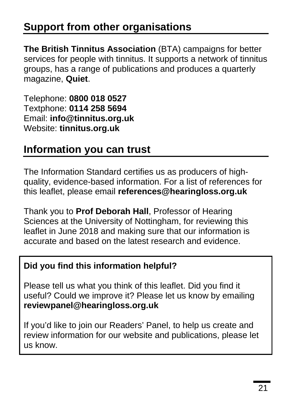# **Support from other organisations**

**The British Tinnitus Association** (BTA) campaigns for better services for people with tinnitus. It supports a network of tinnitus groups, has a range of publications and produces a quarterly magazine, **Quiet**.

Telephone: **0800 018 0527** Textphone: **0114 258 5694** Email: **info@tinnitus.org.uk** Website: **tinnitus.org.uk**

#### **Information you can trust**

The Information Standard certifies us as producers of highquality, evidence-based information. For a list of references for this leaflet, please email **references@hearingloss.org.uk**

Thank you to **Prof Deborah Hall**, Professor of Hearing Sciences at the University of Nottingham, for reviewing this leaflet in June 2018 and making sure that our information is accurate and based on the latest research and evidence.

#### **Did you find this information helpful?**

Please tell us what you think of this leaflet. Did you find it useful? Could we improve it? Please let us know by emailing **reviewpanel@hearingloss.org.uk**

If you'd like to join our Readers' Panel, to help us create and review information for our website and publications, please let us know.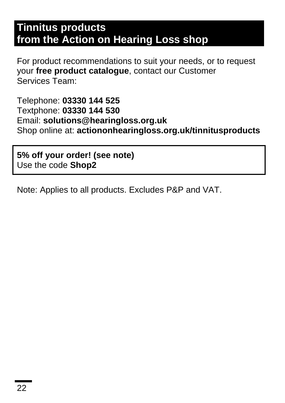#### **Tinnitus products from the Action on Hearing Loss shop**

For product recommendations to suit your needs, or to request your **free product catalogue**, contact our Customer Services Team:

Telephone: **03330 144 525** Textphone: **03330 144 530** Email: **solutions@hearingloss.org.uk** Shop online at: **actiononhearingloss.org.uk/tinnitusproducts**

**5% off your order! (see note)** Use the code **Shop2**

Note: Applies to all products. Excludes P&P and VAT.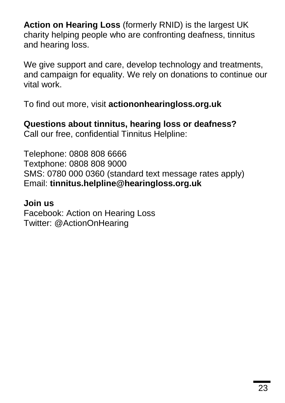**Action on Hearing Loss** (formerly RNID) is the largest UK charity helping people who are confronting deafness, tinnitus and hearing loss.

We give support and care, develop technology and treatments, and campaign for equality. We rely on donations to continue our vital work.

To find out more, visit **actiononhearingloss.org.uk**

**Questions about tinnitus, hearing loss or deafness?** Call our free, confidential Tinnitus Helpline:

Telephone: 0808 808 6666 Textphone: 0808 808 9000 SMS: 0780 000 0360 (standard text message rates apply) Email: **tinnitus.helpline@hearingloss.org.uk**

#### **Join us**

Facebook: Action on Hearing Loss Twitter: @ActionOnHearing